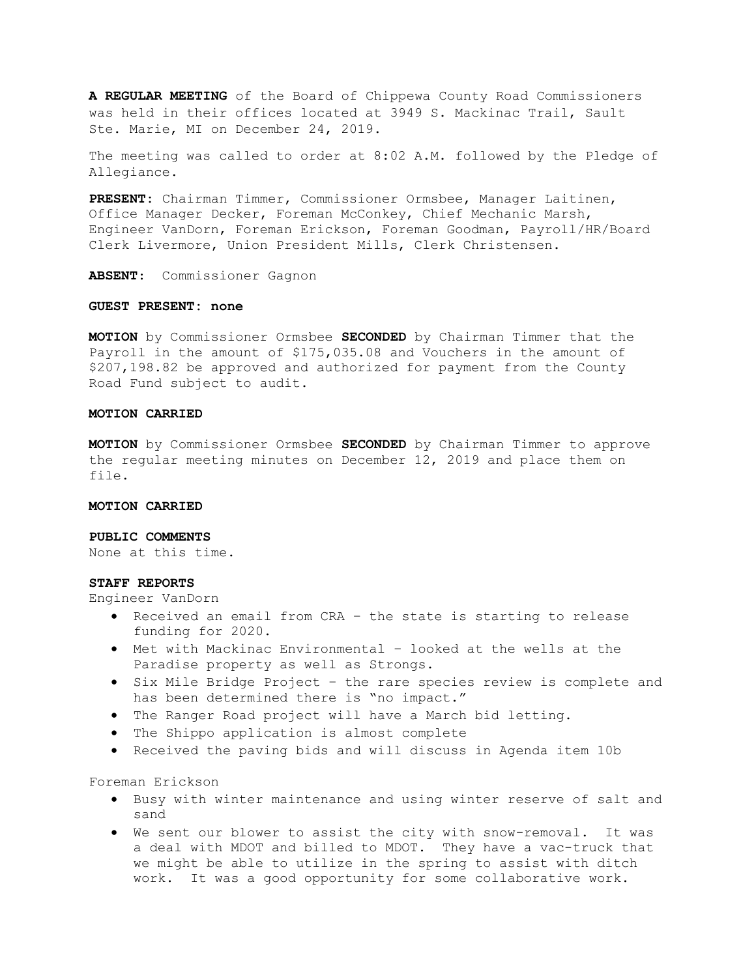A REGULAR MEETING of the Board of Chippewa County Road Commissioners was held in their offices located at 3949 S. Mackinac Trail, Sault Ste. Marie, MI on December 24, 2019.

The meeting was called to order at 8:02 A.M. followed by the Pledge of Allegiance.

PRESENT: Chairman Timmer, Commissioner Ormsbee, Manager Laitinen, Office Manager Decker, Foreman McConkey, Chief Mechanic Marsh, Engineer VanDorn, Foreman Erickson, Foreman Goodman, Payroll/HR/Board Clerk Livermore, Union President Mills, Clerk Christensen.

ABSENT: Commissioner Gagnon

### GUEST PRESENT: none

MOTION by Commissioner Ormsbee SECONDED by Chairman Timmer that the Payroll in the amount of \$175,035.08 and Vouchers in the amount of \$207,198.82 be approved and authorized for payment from the County Road Fund subject to audit.

### MOTION CARRIED

**MOTION** by Commissioner Ormsbee SECONDED by Chairman Timmer to approve the regular meeting minutes on December 12, 2019 and place them on file.

#### MOTION CARRIED

### PUBLIC COMMENTS

None at this time.

### STAFF REPORTS

Engineer VanDorn

- Received an email from CRA the state is starting to release funding for 2020.
- Met with Mackinac Environmental looked at the wells at the Paradise property as well as Strongs.
- Six Mile Bridge Project the rare species review is complete and has been determined there is "no impact."
- The Ranger Road project will have a March bid letting.
- The Shippo application is almost complete
- Received the paving bids and will discuss in Agenda item 10b

Foreman Erickson

- Busy with winter maintenance and using winter reserve of salt and sand
- We sent our blower to assist the city with snow-removal. It was a deal with MDOT and billed to MDOT. They have a vac-truck that we might be able to utilize in the spring to assist with ditch work. It was a good opportunity for some collaborative work.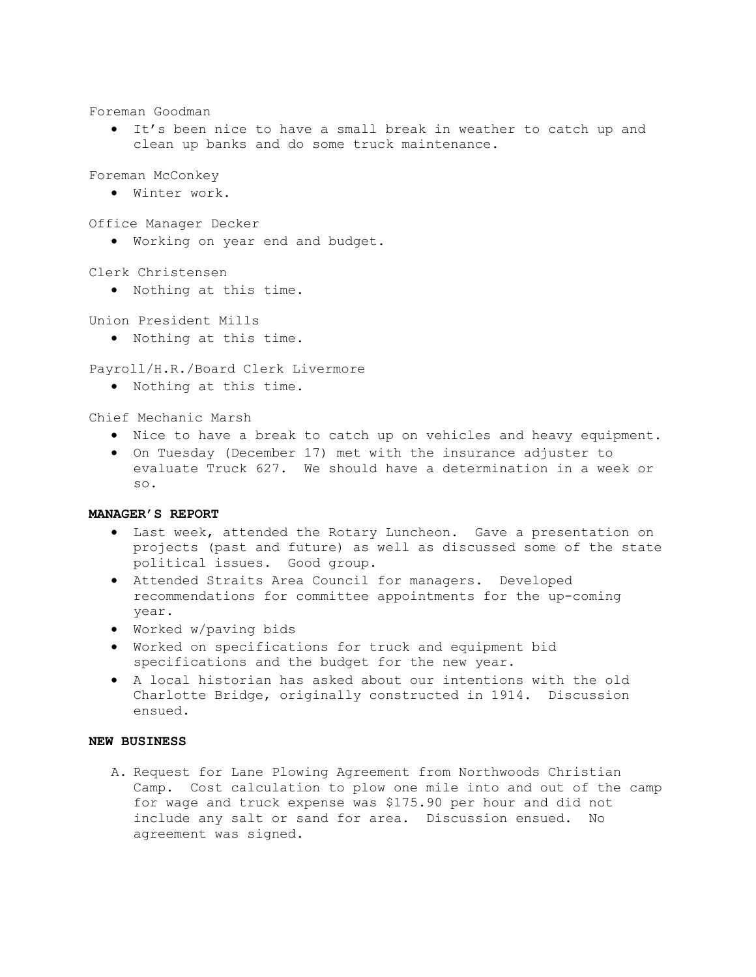Foreman Goodman

 It's been nice to have a small break in weather to catch up and clean up banks and do some truck maintenance.

Foreman McConkey

Winter work.

Office Manager Decker

Working on year end and budget.

Clerk Christensen

Nothing at this time.

Union President Mills

Nothing at this time.

Payroll/H.R./Board Clerk Livermore

Nothing at this time.

Chief Mechanic Marsh

- Nice to have a break to catch up on vehicles and heavy equipment.
- On Tuesday (December 17) met with the insurance adjuster to evaluate Truck 627. We should have a determination in a week or so.

### MANAGER'S REPORT

- Last week, attended the Rotary Luncheon. Gave a presentation on projects (past and future) as well as discussed some of the state political issues. Good group.
- Attended Straits Area Council for managers. Developed recommendations for committee appointments for the up-coming year.
- Worked w/paving bids
- Worked on specifications for truck and equipment bid specifications and the budget for the new year.
- A local historian has asked about our intentions with the old Charlotte Bridge, originally constructed in 1914. Discussion ensued.

# NEW BUSINESS

A. Request for Lane Plowing Agreement from Northwoods Christian Camp. Cost calculation to plow one mile into and out of the camp for wage and truck expense was \$175.90 per hour and did not include any salt or sand for area. Discussion ensued. No agreement was signed.